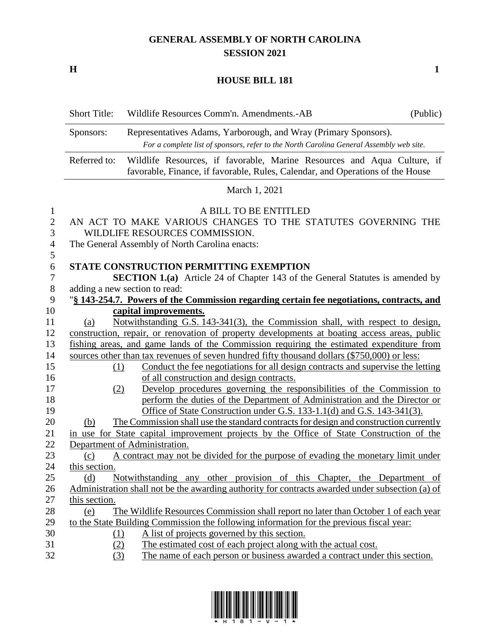## **GENERAL ASSEMBLY OF NORTH CAROLINA SESSION 2021**

**H 1**

## **HOUSE BILL 181**

|                                                                                                                                                                         | <b>Short Title:</b> | (Public)<br>Wildlife Resources Comm'n. Amendments.-AB                                                                                                     |  |
|-------------------------------------------------------------------------------------------------------------------------------------------------------------------------|---------------------|-----------------------------------------------------------------------------------------------------------------------------------------------------------|--|
| Representatives Adams, Yarborough, and Wray (Primary Sponsors).<br>Sponsors:<br>For a complete list of sponsors, refer to the North Carolina General Assembly web site. |                     |                                                                                                                                                           |  |
|                                                                                                                                                                         | Referred to:        | Wildlife Resources, if favorable, Marine Resources and Aqua Culture, if<br>favorable, Finance, if favorable, Rules, Calendar, and Operations of the House |  |
|                                                                                                                                                                         |                     | March 1, 2021                                                                                                                                             |  |
| $\mathbf{1}$                                                                                                                                                            |                     | A BILL TO BE ENTITLED                                                                                                                                     |  |
| $\mathbf{2}$<br>3                                                                                                                                                       |                     | AN ACT TO MAKE VARIOUS CHANGES TO THE STATUTES GOVERNING THE<br>WILDLIFE RESOURCES COMMISSION.                                                            |  |
| 4                                                                                                                                                                       |                     | The General Assembly of North Carolina enacts:                                                                                                            |  |
| 5                                                                                                                                                                       |                     |                                                                                                                                                           |  |
| 6<br>7                                                                                                                                                                  |                     | <b>STATE CONSTRUCTION PERMITTING EXEMPTION</b><br><b>SECTION 1.(a)</b> Article 24 of Chapter 143 of the General Statutes is amended by                    |  |
| 8                                                                                                                                                                       |                     | adding a new section to read:                                                                                                                             |  |
| 9                                                                                                                                                                       |                     | "\\$ 143-254.7. Powers of the Commission regarding certain fee negotiations, contracts, and                                                               |  |
| 10                                                                                                                                                                      |                     | capital improvements.                                                                                                                                     |  |
| 11                                                                                                                                                                      | (a)                 | Notwithstanding G.S. 143-341(3), the Commission shall, with respect to design,                                                                            |  |
| 12                                                                                                                                                                      |                     | construction, repair, or renovation of property developments at boating access areas, public                                                              |  |
| 13                                                                                                                                                                      |                     | fishing areas, and game lands of the Commission requiring the estimated expenditure from                                                                  |  |
| 14                                                                                                                                                                      |                     | sources other than tax revenues of seven hundred fifty thousand dollars (\$750,000) or less:                                                              |  |
| 15                                                                                                                                                                      | (1)                 | Conduct the fee negotiations for all design contracts and supervise the letting                                                                           |  |
| 16                                                                                                                                                                      |                     | of all construction and design contracts.                                                                                                                 |  |
| 17                                                                                                                                                                      | (2)                 | Develop procedures governing the responsibilities of the Commission to                                                                                    |  |
| 18                                                                                                                                                                      |                     | perform the duties of the Department of Administration and the Director or                                                                                |  |
| 19                                                                                                                                                                      |                     | Office of State Construction under G.S. 133-1.1(d) and G.S. 143-341(3).                                                                                   |  |
| 20                                                                                                                                                                      | (b)                 | The Commission shall use the standard contracts for design and construction currently                                                                     |  |
| 21                                                                                                                                                                      |                     | in use for State capital improvement projects by the Office of State Construction of the                                                                  |  |
| 22                                                                                                                                                                      |                     | Department of Administration.                                                                                                                             |  |
| 23                                                                                                                                                                      | (c)                 | A contract may not be divided for the purpose of evading the monetary limit under                                                                         |  |
| 24                                                                                                                                                                      | this section.       |                                                                                                                                                           |  |
| 25                                                                                                                                                                      | (d)                 | Notwithstanding any other provision of this Chapter, the Department of                                                                                    |  |
| 26                                                                                                                                                                      |                     | Administration shall not be the awarding authority for contracts awarded under subsection (a) of                                                          |  |
| 27                                                                                                                                                                      | this section.       |                                                                                                                                                           |  |
| 28                                                                                                                                                                      | (e)                 | The Wildlife Resources Commission shall report no later than October 1 of each year                                                                       |  |
| 29                                                                                                                                                                      |                     | to the State Building Commission the following information for the previous fiscal year:                                                                  |  |
| 30                                                                                                                                                                      | <u>(1)</u>          | A list of projects governed by this section.                                                                                                              |  |
| 31                                                                                                                                                                      | (2)                 | The estimated cost of each project along with the actual cost.                                                                                            |  |
| 32                                                                                                                                                                      | (3)                 | The name of each person or business awarded a contract under this section.                                                                                |  |

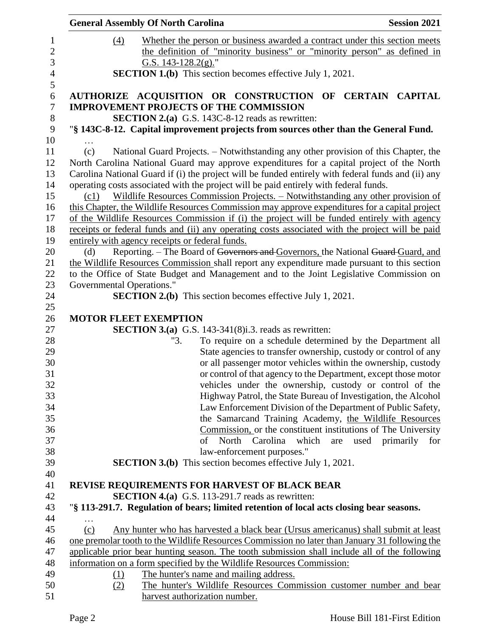|                                                                                              | <b>General Assembly Of North Carolina</b>       |                                                                                       | <b>Session 2021</b>                                                                                |
|----------------------------------------------------------------------------------------------|-------------------------------------------------|---------------------------------------------------------------------------------------|----------------------------------------------------------------------------------------------------|
| (4)                                                                                          |                                                 |                                                                                       | Whether the person or business awarded a contract under this section meets                         |
|                                                                                              |                                                 |                                                                                       | the definition of "minority business" or "minority person" as defined in                           |
|                                                                                              | G.S. 143-128.2(g)."                             |                                                                                       |                                                                                                    |
|                                                                                              |                                                 | <b>SECTION 1.(b)</b> This section becomes effective July 1, 2021.                     |                                                                                                    |
|                                                                                              |                                                 |                                                                                       | AUTHORIZE ACQUISITION OR CONSTRUCTION OF CERTAIN CAPITAL                                           |
|                                                                                              |                                                 | <b>IMPROVEMENT PROJECTS OF THE COMMISSION</b>                                         |                                                                                                    |
|                                                                                              |                                                 | <b>SECTION 2.(a)</b> G.S. 143C-8-12 reads as rewritten:                               |                                                                                                    |
|                                                                                              |                                                 |                                                                                       | "§ 143C-8-12. Capital improvement projects from sources other than the General Fund.               |
| $\cdots$<br>(c)                                                                              |                                                 |                                                                                       | National Guard Projects. – Notwithstanding any other provision of this Chapter, the                |
|                                                                                              |                                                 |                                                                                       | North Carolina National Guard may approve expenditures for a capital project of the North          |
|                                                                                              |                                                 |                                                                                       | Carolina National Guard if (i) the project will be funded entirely with federal funds and (ii) any |
|                                                                                              |                                                 | operating costs associated with the project will be paid entirely with federal funds. |                                                                                                    |
| (c1)                                                                                         |                                                 |                                                                                       | Wildlife Resources Commission Projects. - Notwithstanding any other provision of                   |
|                                                                                              |                                                 |                                                                                       | this Chapter, the Wildlife Resources Commission may approve expenditures for a capital project     |
|                                                                                              |                                                 |                                                                                       | of the Wildlife Resources Commission if (i) the project will be funded entirely with agency        |
|                                                                                              |                                                 |                                                                                       | receipts or federal funds and (ii) any operating costs associated with the project will be paid    |
|                                                                                              | entirely with agency receipts or federal funds. |                                                                                       |                                                                                                    |
| (d)                                                                                          |                                                 |                                                                                       | Reporting. – The Board of Governors and Governors, the National Guard Guard, and                   |
| the Wildlife Resources Commission shall report any expenditure made pursuant to this section |                                                 |                                                                                       |                                                                                                    |
|                                                                                              |                                                 |                                                                                       | to the Office of State Budget and Management and to the Joint Legislative Commission on            |
| Governmental Operations."                                                                    |                                                 |                                                                                       |                                                                                                    |
|                                                                                              |                                                 | <b>SECTION 2.(b)</b> This section becomes effective July 1, 2021.                     |                                                                                                    |
|                                                                                              | <b>MOTOR FLEET EXEMPTION</b>                    |                                                                                       |                                                                                                    |
|                                                                                              |                                                 | <b>SECTION 3.(a)</b> G.S. 143-341(8) <i>i.3.</i> reads as rewritten:                  |                                                                                                    |
|                                                                                              | "3.                                             |                                                                                       | To require on a schedule determined by the Department all                                          |
|                                                                                              |                                                 |                                                                                       | State agencies to transfer ownership, custody or control of any                                    |
|                                                                                              |                                                 |                                                                                       | or all passenger motor vehicles within the ownership, custody                                      |
|                                                                                              |                                                 |                                                                                       | or control of that agency to the Department, except those motor                                    |
|                                                                                              |                                                 |                                                                                       | vehicles under the ownership, custody or control of the                                            |
|                                                                                              |                                                 |                                                                                       | Highway Patrol, the State Bureau of Investigation, the Alcohol                                     |
|                                                                                              |                                                 |                                                                                       | Law Enforcement Division of the Department of Public Safety,                                       |
|                                                                                              |                                                 |                                                                                       | the Samarcand Training Academy, the Wildlife Resources                                             |
|                                                                                              |                                                 |                                                                                       | Commission, or the constituent institutions of The University                                      |
|                                                                                              |                                                 | which<br>of North Carolina                                                            | used primarily<br>are<br>for                                                                       |
|                                                                                              |                                                 | law-enforcement purposes."                                                            |                                                                                                    |
|                                                                                              |                                                 | <b>SECTION 3.(b)</b> This section becomes effective July 1, 2021.                     |                                                                                                    |
|                                                                                              |                                                 | REVISE REQUIREMENTS FOR HARVEST OF BLACK BEAR                                         |                                                                                                    |
|                                                                                              |                                                 | <b>SECTION 4.(a)</b> G.S. 113-291.7 reads as rewritten:                               |                                                                                                    |
|                                                                                              |                                                 |                                                                                       | "§ 113-291.7. Regulation of bears; limited retention of local acts closing bear seasons.           |
|                                                                                              |                                                 |                                                                                       |                                                                                                    |
| (c)                                                                                          |                                                 |                                                                                       | Any hunter who has harvested a black bear (Ursus americanus) shall submit at least                 |
|                                                                                              |                                                 |                                                                                       | one premolar tooth to the Wildlife Resources Commission no later than January 31 following the     |
|                                                                                              |                                                 |                                                                                       | applicable prior bear hunting season. The tooth submission shall include all of the following      |
|                                                                                              |                                                 | information on a form specified by the Wildlife Resources Commission:                 |                                                                                                    |
| (1)                                                                                          | The hunter's name and mailing address.          |                                                                                       |                                                                                                    |
| (2)                                                                                          |                                                 |                                                                                       | The hunter's Wildlife Resources Commission customer number and bear                                |
|                                                                                              | harvest authorization number.                   |                                                                                       |                                                                                                    |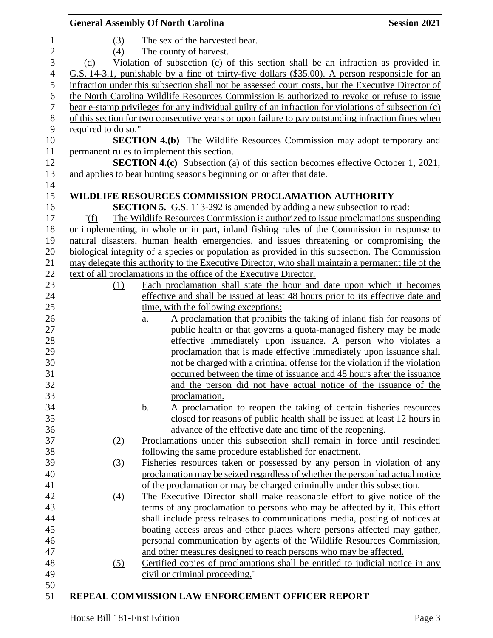|                  |                     | <b>General Assembly Of North Carolina</b>                                                                                                 | <b>Session 2021</b> |
|------------------|---------------------|-------------------------------------------------------------------------------------------------------------------------------------------|---------------------|
| $\mathbf{1}$     | (3)                 | The sex of the harvested bear.                                                                                                            |                     |
| $\sqrt{2}$       | (4)                 | The county of harvest.                                                                                                                    |                     |
| $\mathfrak{Z}$   | (d)                 | Violation of subsection (c) of this section shall be an infraction as provided in                                                         |                     |
| $\overline{4}$   |                     | G.S. 14-3.1, punishable by a fine of thirty-five dollars (\$35.00). A person responsible for an                                           |                     |
| $\mathfrak s$    |                     | infraction under this subsection shall not be assessed court costs, but the Executive Director of                                         |                     |
| 6                |                     | the North Carolina Wildlife Resources Commission is authorized to revoke or refuse to issue                                               |                     |
| $\boldsymbol{7}$ |                     | bear e-stamp privileges for any individual guilty of an infraction for violations of subsection (c)                                       |                     |
| $8\,$            |                     | of this section for two consecutive years or upon failure to pay outstanding infraction fines when                                        |                     |
| 9                | required to do so." |                                                                                                                                           |                     |
| 10               |                     | <b>SECTION 4.(b)</b> The Wildlife Resources Commission may adopt temporary and                                                            |                     |
| 11               |                     | permanent rules to implement this section.                                                                                                |                     |
| 12               |                     | <b>SECTION 4.(c)</b> Subsection (a) of this section becomes effective October 1, 2021,                                                    |                     |
| 13               |                     | and applies to bear hunting seasons beginning on or after that date.                                                                      |                     |
| 14               |                     |                                                                                                                                           |                     |
| 15               |                     | WILDLIFE RESOURCES COMMISSION PROCLAMATION AUTHORITY                                                                                      |                     |
| 16               |                     | <b>SECTION 5.</b> G.S. 113-292 is amended by adding a new subsection to read:                                                             |                     |
| 17               | " $(f)$             | The Wildlife Resources Commission is authorized to issue proclamations suspending                                                         |                     |
| 18               |                     | or implementing, in whole or in part, inland fishing rules of the Commission in response to                                               |                     |
| 19               |                     | natural disasters, human health emergencies, and issues threatening or compromising the                                                   |                     |
| 20               |                     | biological integrity of a species or population as provided in this subsection. The Commission                                            |                     |
| 21               |                     | may delegate this authority to the Executive Director, who shall maintain a permanent file of the                                         |                     |
| 22               |                     | text of all proclamations in the office of the Executive Director.                                                                        |                     |
| 23               | (1)                 | Each proclamation shall state the hour and date upon which it becomes                                                                     |                     |
| 24               |                     | effective and shall be issued at least 48 hours prior to its effective date and                                                           |                     |
| $25\,$           |                     | time, with the following exceptions:                                                                                                      |                     |
| 26               |                     | A proclamation that prohibits the taking of inland fish for reasons of<br>$\underline{a}$ .                                               |                     |
| 27               |                     | public health or that governs a quota-managed fishery may be made                                                                         |                     |
| 28               |                     | effective immediately upon issuance. A person who violates a                                                                              |                     |
| 29               |                     | proclamation that is made effective immediately upon issuance shall                                                                       |                     |
| 30<br>31         |                     | not be charged with a criminal offense for the violation if the violation                                                                 |                     |
| 32               |                     | occurred between the time of issuance and 48 hours after the issuance<br>and the person did not have actual notice of the issuance of the |                     |
| 33               |                     | proclamation.                                                                                                                             |                     |
| 34               |                     | A proclamation to reopen the taking of certain fisheries resources<br><u>b.</u>                                                           |                     |
| 35               |                     | closed for reasons of public health shall be issued at least 12 hours in                                                                  |                     |
| 36               |                     | advance of the effective date and time of the reopening.                                                                                  |                     |
| 37               | (2)                 | Proclamations under this subsection shall remain in force until rescinded                                                                 |                     |
| 38               |                     | following the same procedure established for enactment.                                                                                   |                     |
| 39               | (3)                 | Fisheries resources taken or possessed by any person in violation of any                                                                  |                     |
| 40               |                     | proclamation may be seized regardless of whether the person had actual notice                                                             |                     |
| 41               |                     | of the proclamation or may be charged criminally under this subsection.                                                                   |                     |
| 42               | (4)                 | The Executive Director shall make reasonable effort to give notice of the                                                                 |                     |
| 43               |                     | terms of any proclamation to persons who may be affected by it. This effort                                                               |                     |
| 44               |                     | shall include press releases to communications media, posting of notices at                                                               |                     |
| 45               |                     | boating access areas and other places where persons affected may gather,                                                                  |                     |
| 46               |                     | personal communication by agents of the Wildlife Resources Commission,                                                                    |                     |
| 47               |                     | and other measures designed to reach persons who may be affected.                                                                         |                     |
| 48               | (5)                 | Certified copies of proclamations shall be entitled to judicial notice in any                                                             |                     |
| 49               |                     | civil or criminal proceeding."                                                                                                            |                     |
| 50               |                     |                                                                                                                                           |                     |
| 51               |                     | REPEAL COMMISSION LAW ENFORCEMENT OFFICER REPORT                                                                                          |                     |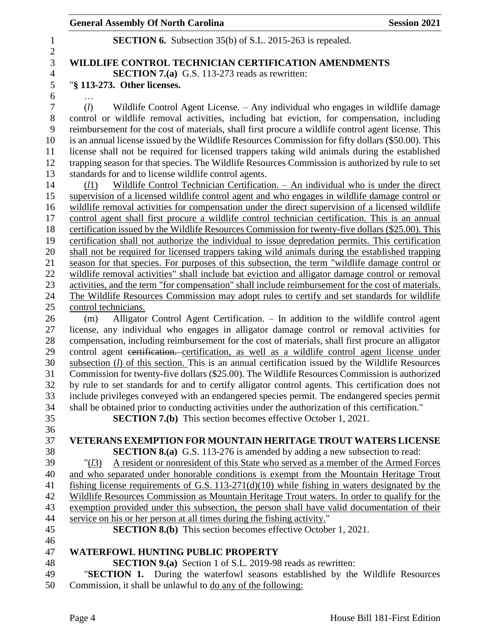## **General Assembly Of North Carolina Session 2021**

|     | <b>SECTION 6.</b> Subsection 35(b) of S.L. 2015-263 is repealed.                                                                                                                                       |
|-----|--------------------------------------------------------------------------------------------------------------------------------------------------------------------------------------------------------|
|     | WILDLIFE CONTROL TECHNICIAN CERTIFICATION AMENDMENTS                                                                                                                                                   |
|     | <b>SECTION 7.(a)</b> G.S. 113-273 reads as rewritten:                                                                                                                                                  |
|     | "§ 113-273. Other licenses.                                                                                                                                                                            |
|     |                                                                                                                                                                                                        |
| (l) | Wildlife Control Agent License. – Any individual who engages in wildlife damage                                                                                                                        |
|     | control or wildlife removal activities, including bat eviction, for compensation, including                                                                                                            |
|     | reimbursement for the cost of materials, shall first procure a wildlife control agent license. This                                                                                                    |
|     | is an annual license issued by the Wildlife Resources Commission for fifty dollars (\$50.00). This                                                                                                     |
|     | license shall not be required for licensed trappers taking wild animals during the established                                                                                                         |
|     | trapping season for that species. The Wildlife Resources Commission is authorized by rule to set                                                                                                       |
|     | standards for and to license wildlife control agents.                                                                                                                                                  |
|     | Wildlife Control Technician Certification. - An individual who is under the direct<br>(l1)                                                                                                             |
|     | supervision of a licensed wildlife control agent and who engages in wildlife damage control or                                                                                                         |
|     | wildlife removal activities for compensation under the direct supervision of a licensed wildlife                                                                                                       |
|     | control agent shall first procure a wildlife control technician certification. This is an annual                                                                                                       |
|     | certification issued by the Wildlife Resources Commission for twenty-five dollars (\$25.00). This<br>certification shall not authorize the individual to issue depredation permits. This certification |
|     | shall not be required for licensed trappers taking wild animals during the established trapping                                                                                                        |
|     | season for that species. For purposes of this subsection, the term "wildlife damage control or                                                                                                         |
|     | wildlife removal activities" shall include bat eviction and alligator damage control or removal                                                                                                        |
|     | activities, and the term "for compensation" shall include reimbursement for the cost of materials.                                                                                                     |
|     | The Wildlife Resources Commission may adopt rules to certify and set standards for wildlife                                                                                                            |
|     | control technicians.                                                                                                                                                                                   |
|     | Alligator Control Agent Certification. - In addition to the wildlife control agent<br>(m)                                                                                                              |
|     | license, any individual who engages in alligator damage control or removal activities for                                                                                                              |
|     | compensation, including reimbursement for the cost of materials, shall first procure an alligator                                                                                                      |
|     | control agent eertification. certification, as well as a wildlife control agent license under                                                                                                          |
|     | subsection $(l)$ of this section. This is an annual certification issued by the Wildlife Resources                                                                                                     |
|     | Commission for twenty-five dollars (\$25.00). The Wildlife Resources Commission is authorized<br>by rule to set standards for and to certify alligator control agents. This certification does not     |
|     | include privileges conveyed with an endangered species permit. The endangered species permit                                                                                                           |
|     | shall be obtained prior to conducting activities under the authorization of this certification."                                                                                                       |
|     | <b>SECTION 7.(b)</b> This section becomes effective October 1, 2021.                                                                                                                                   |
|     |                                                                                                                                                                                                        |
|     | <b>VETERANS EXEMPTION FOR MOUNTAIN HERITAGE TROUT WATERS LICENSE</b>                                                                                                                                   |
|     | <b>SECTION 8.(a)</b> G.S. 113-276 is amended by adding a new subsection to read:                                                                                                                       |
|     | A resident or nonresident of this State who served as a member of the Armed Forces<br>" $(l3)$                                                                                                         |
|     | and who separated under honorable conditions is exempt from the Mountain Heritage Trout                                                                                                                |
|     | fishing license requirements of G.S. $113-271(d)(10)$ while fishing in waters designated by the                                                                                                        |
|     | Wildlife Resources Commission as Mountain Heritage Trout waters. In order to qualify for the                                                                                                           |
|     | exemption provided under this subsection, the person shall have valid documentation of their                                                                                                           |
|     | service on his or her person at all times during the fishing activity."<br><b>SECTION 8.(b)</b> This section becomes effective October 1, 2021.                                                        |
|     |                                                                                                                                                                                                        |
|     | <b>WATERFOWL HUNTING PUBLIC PROPERTY</b>                                                                                                                                                               |
|     | <b>SECTION 9.(a)</b> Section 1 of S.L. 2019-98 reads as rewritten:                                                                                                                                     |
|     | "SECTION 1. During the waterfowl seasons established by the Wildlife Resources                                                                                                                         |
|     | Commission, it shall be unlawful to do any of the following:                                                                                                                                           |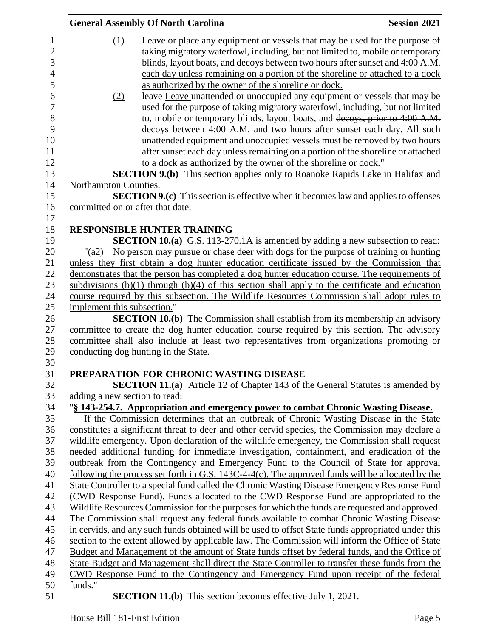|                  |                                  | <b>General Assembly Of North Carolina</b>                                                           | <b>Session 2021</b> |
|------------------|----------------------------------|-----------------------------------------------------------------------------------------------------|---------------------|
| 1                | $\Omega$                         | Leave or place any equipment or vessels that may be used for the purpose of                         |                     |
| $\sqrt{2}$       |                                  | taking migratory waterfowl, including, but not limited to, mobile or temporary                      |                     |
| 3                |                                  | blinds, layout boats, and decoys between two hours after sunset and 4:00 A.M.                       |                     |
| $\overline{4}$   |                                  | each day unless remaining on a portion of the shoreline or attached to a dock                       |                     |
| 5                |                                  | as authorized by the owner of the shoreline or dock.                                                |                     |
| $\boldsymbol{6}$ | (2)                              | leave-Leave unattended or unoccupied any equipment or vessels that may be                           |                     |
| $\boldsymbol{7}$ |                                  | used for the purpose of taking migratory waterfowl, including, but not limited                      |                     |
| $\, 8$           |                                  | to, mobile or temporary blinds, layout boats, and decoys, prior to 4:00 A.M.                        |                     |
| 9                |                                  | decoys between 4:00 A.M. and two hours after sunset each day. All such                              |                     |
| 10               |                                  | unattended equipment and unoccupied vessels must be removed by two hours                            |                     |
| 11               |                                  | after sunset each day unless remaining on a portion of the shoreline or attached                    |                     |
| 12               |                                  | to a dock as authorized by the owner of the shoreline or dock."                                     |                     |
| 13               |                                  | <b>SECTION 9.(b)</b> This section applies only to Roanoke Rapids Lake in Halifax and                |                     |
| 14               | Northampton Counties.            |                                                                                                     |                     |
| 15               |                                  | <b>SECTION 9.(c)</b> This section is effective when it becomes law and applies to offenses          |                     |
| 16               | committed on or after that date. |                                                                                                     |                     |
| 17               |                                  |                                                                                                     |                     |
| 18               |                                  | <b>RESPONSIBLE HUNTER TRAINING</b>                                                                  |                     |
| 19               |                                  | <b>SECTION 10.(a)</b> G.S. 113-270.1A is amended by adding a new subsection to read:                |                     |
| 20               | $"({\rm a}2)$                    | No person may pursue or chase deer with dogs for the purpose of training or hunting                 |                     |
| 21               |                                  | unless they first obtain a dog hunter education certificate issued by the Commission that           |                     |
| 22               |                                  | demonstrates that the person has completed a dog hunter education course. The requirements of       |                     |
| 23               |                                  | subdivisions $(b)(1)$ through $(b)(4)$ of this section shall apply to the certificate and education |                     |
| 24               |                                  | course required by this subsection. The Wildlife Resources Commission shall adopt rules to          |                     |
| 25               | implement this subsection."      |                                                                                                     |                     |
| 26               |                                  | <b>SECTION 10.(b)</b> The Commission shall establish from its membership an advisory                |                     |
| 27               |                                  | committee to create the dog hunter education course required by this section. The advisory          |                     |
| 28               |                                  | committee shall also include at least two representatives from organizations promoting or           |                     |
| 29               |                                  | conducting dog hunting in the State.                                                                |                     |
| 30               |                                  |                                                                                                     |                     |
| 31               |                                  | PREPARATION FOR CHRONIC WASTING DISEASE                                                             |                     |
| 32               |                                  | <b>SECTION 11.(a)</b> Article 12 of Chapter 143 of the General Statutes is amended by               |                     |
| 33               | adding a new section to read:    |                                                                                                     |                     |
| 34               |                                  | "§ 143-254.7. Appropriation and emergency power to combat Chronic Wasting Disease.                  |                     |
| 35               |                                  | If the Commission determines that an outbreak of Chronic Wasting Disease in the State               |                     |
| 36               |                                  | constitutes a significant threat to deer and other cervid species, the Commission may declare a     |                     |
| 37               |                                  | wildlife emergency. Upon declaration of the wildlife emergency, the Commission shall request        |                     |
| 38               |                                  | needed additional funding for immediate investigation, containment, and eradication of the          |                     |
| 39               |                                  | outbreak from the Contingency and Emergency Fund to the Council of State for approval               |                     |
| 40               |                                  | following the process set forth in G.S. $143C-4-4(c)$ . The approved funds will be allocated by the |                     |
| 41               |                                  | State Controller to a special fund called the Chronic Wasting Disease Emergency Response Fund       |                     |
| 42               |                                  | (CWD Response Fund). Funds allocated to the CWD Response Fund are appropriated to the               |                     |
| 43               |                                  | Wildlife Resources Commission for the purposes for which the funds are requested and approved.      |                     |
| 44               |                                  | The Commission shall request any federal funds available to combat Chronic Wasting Disease          |                     |
| 45               |                                  | in cervids, and any such funds obtained will be used to offset State funds appropriated under this  |                     |
| 46               |                                  | section to the extent allowed by applicable law. The Commission will inform the Office of State     |                     |
| 47               |                                  | Budget and Management of the amount of State funds offset by federal funds, and the Office of       |                     |
| 48               |                                  | State Budget and Management shall direct the State Controller to transfer these funds from the      |                     |
| 49               |                                  | CWD Response Fund to the Contingency and Emergency Fund upon receipt of the federal                 |                     |
| 50               | funds."                          |                                                                                                     |                     |
| 51               |                                  | <b>SECTION 11.(b)</b> This section becomes effective July 1, 2021.                                  |                     |